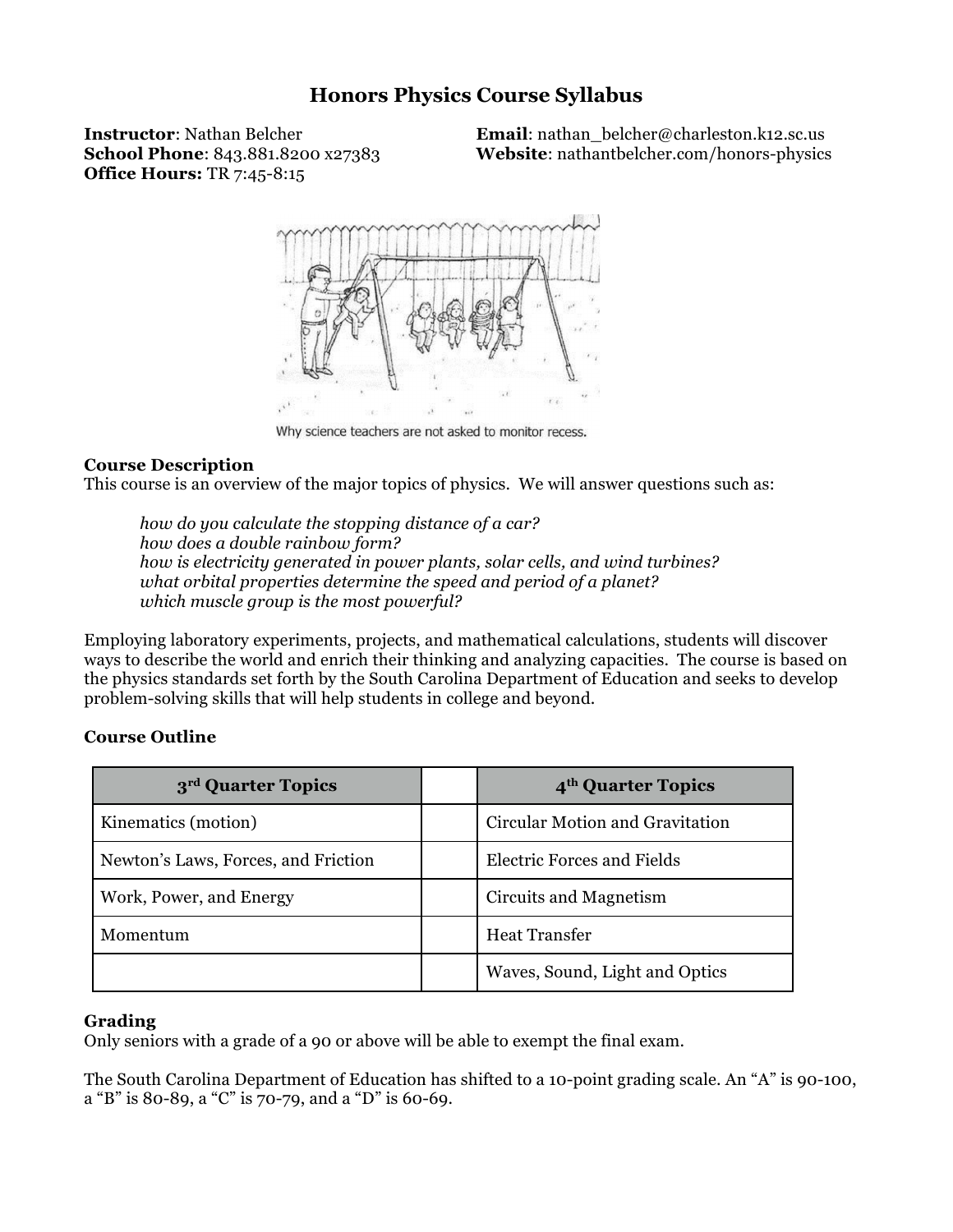# **Honors Physics Course Syllabus**

**Office Hours:** TR 7:45-8:15

**Instructor**: Nathan Belcher **Email**: nathan belcher@charleston.k12.sc.us **School Phone**: 843.881.8200 x27383 **Website**: nathantbelcher.com/honors-physics



Why science teachers are not asked to monitor recess.

#### **Course Description**

This course is an overview of the major topics of physics. We will answer questions such as:

*how do you calculate the stopping distance of a car? how does a double rainbow form? how is electricity generated in power plants, solar cells, and wind turbines? what orbital properties determine the speed and period of a planet? which muscle group is the most powerful?* 

Employing laboratory experiments, projects, and mathematical calculations, students will discover ways to describe the world and enrich their thinking and analyzing capacities. The course is based on the physics standards set forth by the South Carolina Department of Education and seeks to develop problem-solving skills that will help students in college and beyond.

## **Course Outline**

| 3 <sup>rd</sup> Quarter Topics      | 4 <sup>th</sup> Quarter Topics    |
|-------------------------------------|-----------------------------------|
| Kinematics (motion)                 | Circular Motion and Gravitation   |
| Newton's Laws, Forces, and Friction | <b>Electric Forces and Fields</b> |
| Work, Power, and Energy             | Circuits and Magnetism            |
| Momentum                            | <b>Heat Transfer</b>              |
|                                     | Waves, Sound, Light and Optics    |

#### **Grading**

Only seniors with a grade of a 90 or above will be able to exempt the final exam.

The South Carolina Department of Education has shifted to a 10-point grading scale. An "A" is 90-100, a "B" is 80-89, a "C" is 70-79, and a "D" is 60-69.